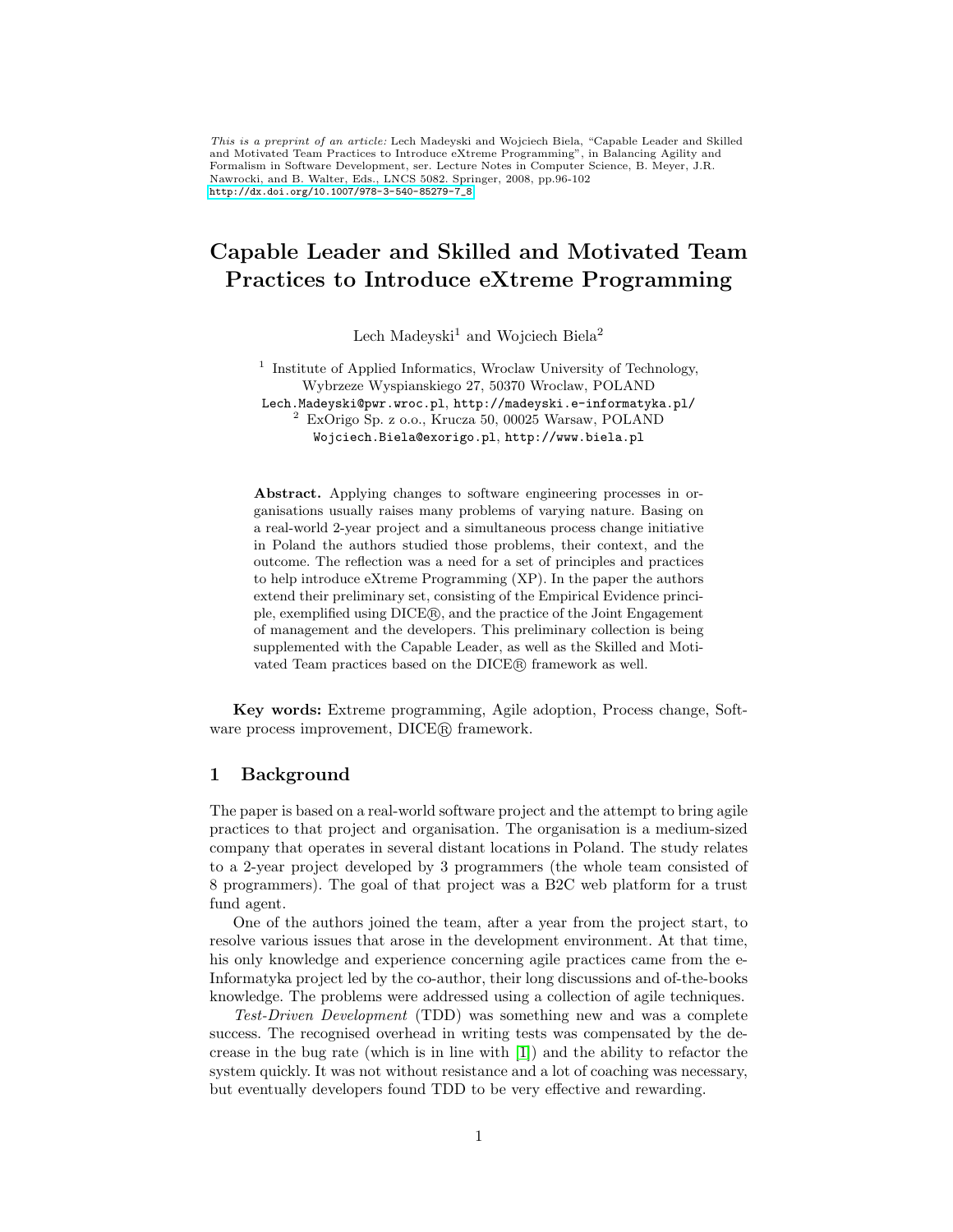This is a preprint of an article: Lech Madeyski and Wojciech Biela, "Capable Leader and Skilled and Motivated Team Practices to Introduce eXtreme Programming", in Balancing Agility and Formalism in Software Development, ser. Lecture Notes in Computer Science, B. Meyer, J.R. Nawrocki, and B. Walter, Eds., LNCS 5082. Springer, 2008, pp.96-102 [http://dx.doi.org/10.1007/978-3-540-85279-7\\_8](http://dx.doi.org/10.1007/978-3-540-85279-7_8)

# Capable Leader and Skilled and Motivated Team Practices to Introduce eXtreme Programming

Lech Madeyski<sup>1</sup> and Wojciech Biela<sup>2</sup>

<sup>1</sup> Institute of Applied Informatics, Wroclaw University of Technology, Wybrzeze Wyspianskiego 27, 50370 Wroclaw, POLAND Lech.Madeyski@pwr.wroc.pl, http://madeyski.e-informatyka.pl/

<sup>2</sup> ExOrigo Sp. z o.o., Krucza 50, 00025 Warsaw, POLAND Wojciech.Biela@exorigo.pl, http://www.biela.pl

Abstract. Applying changes to software engineering processes in organisations usually raises many problems of varying nature. Basing on a real-world 2-year project and a simultaneous process change initiative in Poland the authors studied those problems, their context, and the outcome. The reflection was a need for a set of principles and practices to help introduce eXtreme Programming (XP). In the paper the authors extend their preliminary set, consisting of the Empirical Evidence principle, exemplified using DICE <sup>R</sup> , and the practice of the Joint Engagement of management and the developers. This preliminary collection is being supplemented with the Capable Leader, as well as the Skilled and Motivated Team practices based on the DICE <sup>R</sup> framework as well.

Key words: Extreme programming, Agile adoption, Process change, Software process improvement, DICE<sup>(R)</sup> framework.

# 1 Background

The paper is based on a real-world software project and the attempt to bring agile practices to that project and organisation. The organisation is a medium-sized company that operates in several distant locations in Poland. The study relates to a 2-year project developed by 3 programmers (the whole team consisted of 8 programmers). The goal of that project was a B2C web platform for a trust fund agent.

One of the authors joined the team, after a year from the project start, to resolve various issues that arose in the development environment. At that time, his only knowledge and experience concerning agile practices came from the e-Informatyka project led by the co-author, their long discussions and of-the-books knowledge. The problems were addressed using a collection of agile techniques.

Test-Driven Development (TDD) was something new and was a complete success. The recognised overhead in writing tests was compensated by the decrease in the bug rate (which is in line with [\[1\]](#page-5-0)) and the ability to refactor the system quickly. It was not without resistance and a lot of coaching was necessary, but eventually developers found TDD to be very effective and rewarding.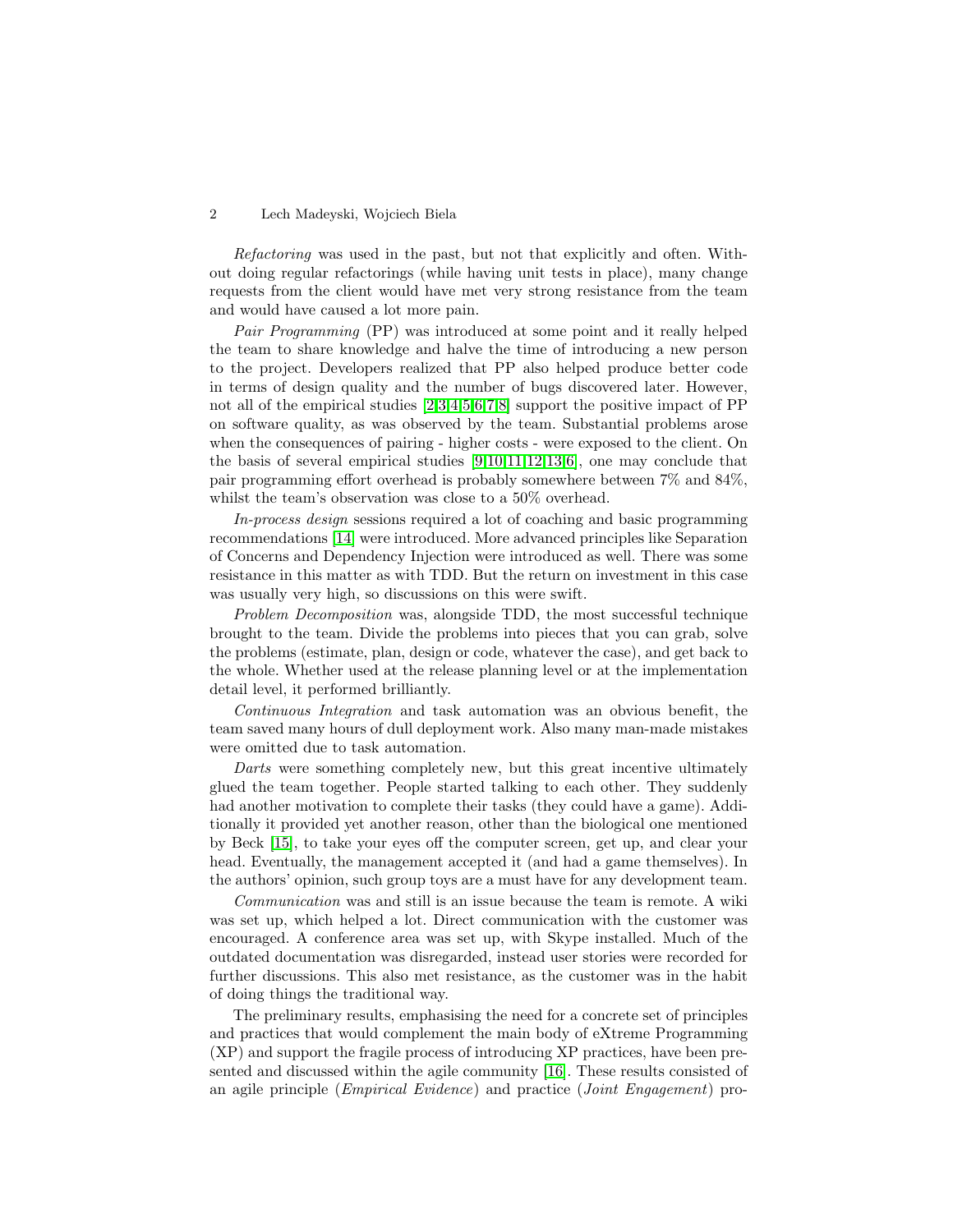### 2 Lech Madeyski, Wojciech Biela

Refactoring was used in the past, but not that explicitly and often. Without doing regular refactorings (while having unit tests in place), many change requests from the client would have met very strong resistance from the team and would have caused a lot more pain.

Pair Programming (PP) was introduced at some point and it really helped the team to share knowledge and halve the time of introducing a new person to the project. Developers realized that PP also helped produce better code in terms of design quality and the number of bugs discovered later. However, not all of the empirical studies [\[2,](#page-5-1)[3,](#page-5-2)[4,](#page-5-3)[5](#page-5-4)[,6,](#page-6-0)[7,](#page-6-1)[8\]](#page-6-2) support the positive impact of PP on software quality, as was observed by the team. Substantial problems arose when the consequences of pairing - higher costs - were exposed to the client. On the basis of several empirical studies [\[9](#page-6-3)[,10,](#page-6-4)[11,](#page-6-5)[12](#page-6-6)[,13](#page-6-7)[,6\]](#page-6-0), one may conclude that pair programming effort overhead is probably somewhere between 7% and 84%, whilst the team's observation was close to a 50% overhead.

In-process design sessions required a lot of coaching and basic programming recommendations [\[14\]](#page-6-8) were introduced. More advanced principles like Separation of Concerns and Dependency Injection were introduced as well. There was some resistance in this matter as with TDD. But the return on investment in this case was usually very high, so discussions on this were swift.

Problem Decomposition was, alongside TDD, the most successful technique brought to the team. Divide the problems into pieces that you can grab, solve the problems (estimate, plan, design or code, whatever the case), and get back to the whole. Whether used at the release planning level or at the implementation detail level, it performed brilliantly.

Continuous Integration and task automation was an obvious benefit, the team saved many hours of dull deployment work. Also many man-made mistakes were omitted due to task automation.

Darts were something completely new, but this great incentive ultimately glued the team together. People started talking to each other. They suddenly had another motivation to complete their tasks (they could have a game). Additionally it provided yet another reason, other than the biological one mentioned by Beck [\[15\]](#page-6-9), to take your eyes off the computer screen, get up, and clear your head. Eventually, the management accepted it (and had a game themselves). In the authors' opinion, such group toys are a must have for any development team.

Communication was and still is an issue because the team is remote. A wiki was set up, which helped a lot. Direct communication with the customer was encouraged. A conference area was set up, with Skype installed. Much of the outdated documentation was disregarded, instead user stories were recorded for further discussions. This also met resistance, as the customer was in the habit of doing things the traditional way.

The preliminary results, emphasising the need for a concrete set of principles and practices that would complement the main body of eXtreme Programming (XP) and support the fragile process of introducing XP practices, have been presented and discussed within the agile community [\[16\]](#page-6-10). These results consisted of an agile principle (Empirical Evidence) and practice (Joint Engagement) pro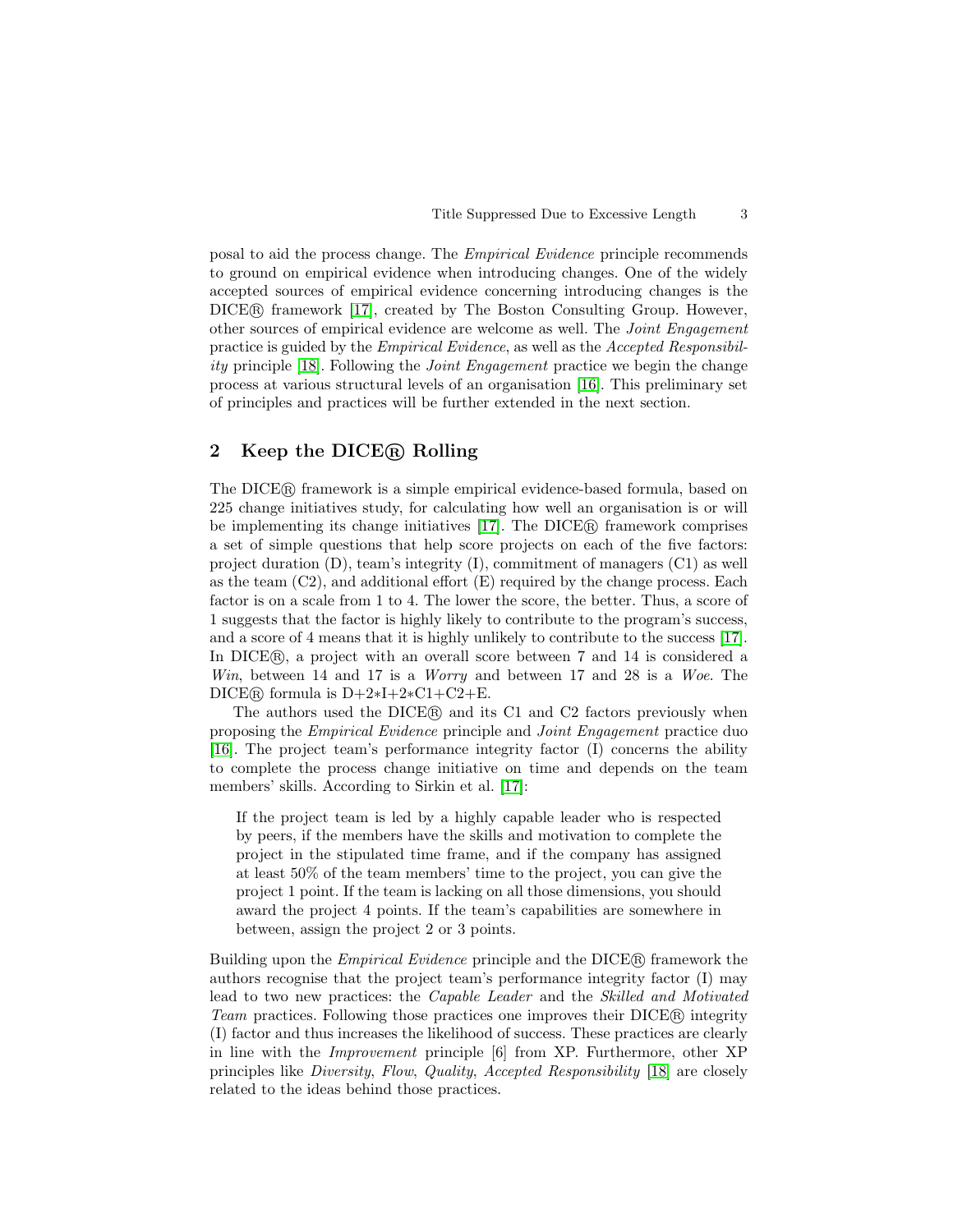posal to aid the process change. The Empirical Evidence principle recommends to ground on empirical evidence when introducing changes. One of the widely accepted sources of empirical evidence concerning introducing changes is the DICE <sup>R</sup> framework [\[17\]](#page-6-11), created by The Boston Consulting Group. However, other sources of empirical evidence are welcome as well. The Joint Engagement practice is guided by the Empirical Evidence, as well as the Accepted Responsibility principle [\[18\]](#page-6-12). Following the Joint Engagement practice we begin the change process at various structural levels of an organisation [\[16\]](#page-6-10). This preliminary set of principles and practices will be further extended in the next section.

## 2 Keep the DICE<sub>(R)</sub> Rolling

The DICE <sup>R</sup> framework is a simple empirical evidence-based formula, based on 225 change initiatives study, for calculating how well an organisation is or will be implementing its change initiatives [\[17\]](#page-6-11). The DICE® framework comprises a set of simple questions that help score projects on each of the five factors: project duration (D), team's integrity (I), commitment of managers (C1) as well as the team  $(C2)$ , and additional effort  $(E)$  required by the change process. Each factor is on a scale from 1 to 4. The lower the score, the better. Thus, a score of 1 suggests that the factor is highly likely to contribute to the program's success, and a score of 4 means that it is highly unlikely to contribute to the success [\[17\]](#page-6-11). In DICER, a project with an overall score between 7 and 14 is considered a Win, between 14 and 17 is a *Worry* and between 17 and 28 is a *Woe*. The DICE® formula is  $D+2*I+2*C1+C2+E$ .

The authors used the DICE<sub>(R)</sub> and its C1 and C2 factors previously when proposing the Empirical Evidence principle and Joint Engagement practice duo [\[16\]](#page-6-10). The project team's performance integrity factor (I) concerns the ability to complete the process change initiative on time and depends on the team members' skills. According to Sirkin et al. [\[17\]](#page-6-11):

If the project team is led by a highly capable leader who is respected by peers, if the members have the skills and motivation to complete the project in the stipulated time frame, and if the company has assigned at least 50% of the team members' time to the project, you can give the project 1 point. If the team is lacking on all those dimensions, you should award the project 4 points. If the team's capabilities are somewhere in between, assign the project 2 or 3 points.

Building upon the Empirical Evidence principle and the DICE <sup>R</sup> framework the authors recognise that the project team's performance integrity factor (I) may lead to two new practices: the Capable Leader and the Skilled and Motivated Team practices. Following those practices one improves their DICE(R) integrity (I) factor and thus increases the likelihood of success. These practices are clearly in line with the Improvement principle [6] from XP. Furthermore, other XP principles like Diversity, Flow, Quality, Accepted Responsibility [\[18\]](#page-6-12) are closely related to the ideas behind those practices.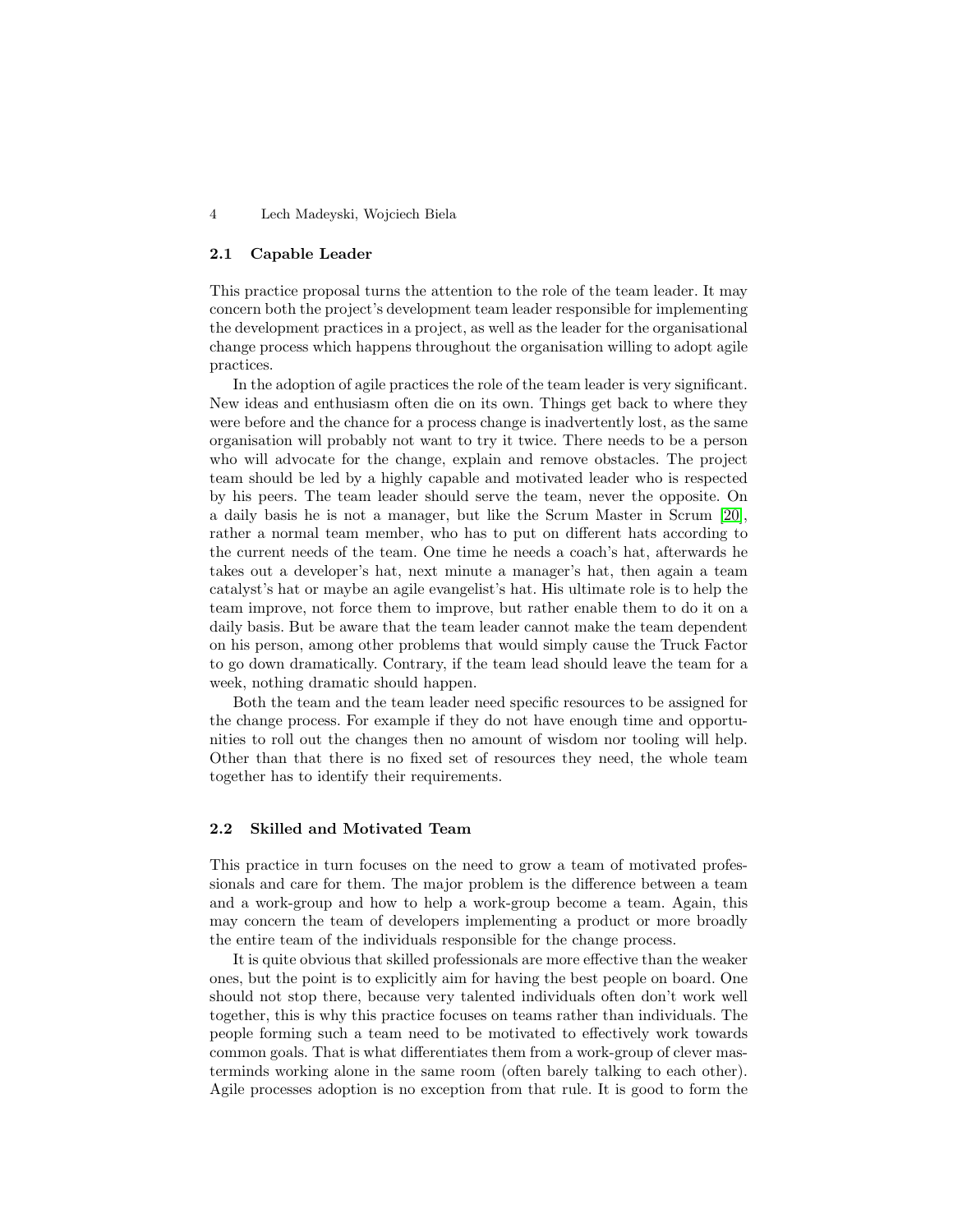### 4 Lech Madeyski, Wojciech Biela

#### 2.1 Capable Leader

This practice proposal turns the attention to the role of the team leader. It may concern both the project's development team leader responsible for implementing the development practices in a project, as well as the leader for the organisational change process which happens throughout the organisation willing to adopt agile practices.

In the adoption of agile practices the role of the team leader is very significant. New ideas and enthusiasm often die on its own. Things get back to where they were before and the chance for a process change is inadvertently lost, as the same organisation will probably not want to try it twice. There needs to be a person who will advocate for the change, explain and remove obstacles. The project team should be led by a highly capable and motivated leader who is respected by his peers. The team leader should serve the team, never the opposite. On a daily basis he is not a manager, but like the Scrum Master in Scrum [\[20\]](#page-6-13), rather a normal team member, who has to put on different hats according to the current needs of the team. One time he needs a coach's hat, afterwards he takes out a developer's hat, next minute a manager's hat, then again a team catalyst's hat or maybe an agile evangelist's hat. His ultimate role is to help the team improve, not force them to improve, but rather enable them to do it on a daily basis. But be aware that the team leader cannot make the team dependent on his person, among other problems that would simply cause the Truck Factor to go down dramatically. Contrary, if the team lead should leave the team for a week, nothing dramatic should happen.

Both the team and the team leader need specific resources to be assigned for the change process. For example if they do not have enough time and opportunities to roll out the changes then no amount of wisdom nor tooling will help. Other than that there is no fixed set of resources they need, the whole team together has to identify their requirements.

#### 2.2 Skilled and Motivated Team

This practice in turn focuses on the need to grow a team of motivated professionals and care for them. The major problem is the difference between a team and a work-group and how to help a work-group become a team. Again, this may concern the team of developers implementing a product or more broadly the entire team of the individuals responsible for the change process.

It is quite obvious that skilled professionals are more effective than the weaker ones, but the point is to explicitly aim for having the best people on board. One should not stop there, because very talented individuals often don't work well together, this is why this practice focuses on teams rather than individuals. The people forming such a team need to be motivated to effectively work towards common goals. That is what differentiates them from a work-group of clever masterminds working alone in the same room (often barely talking to each other). Agile processes adoption is no exception from that rule. It is good to form the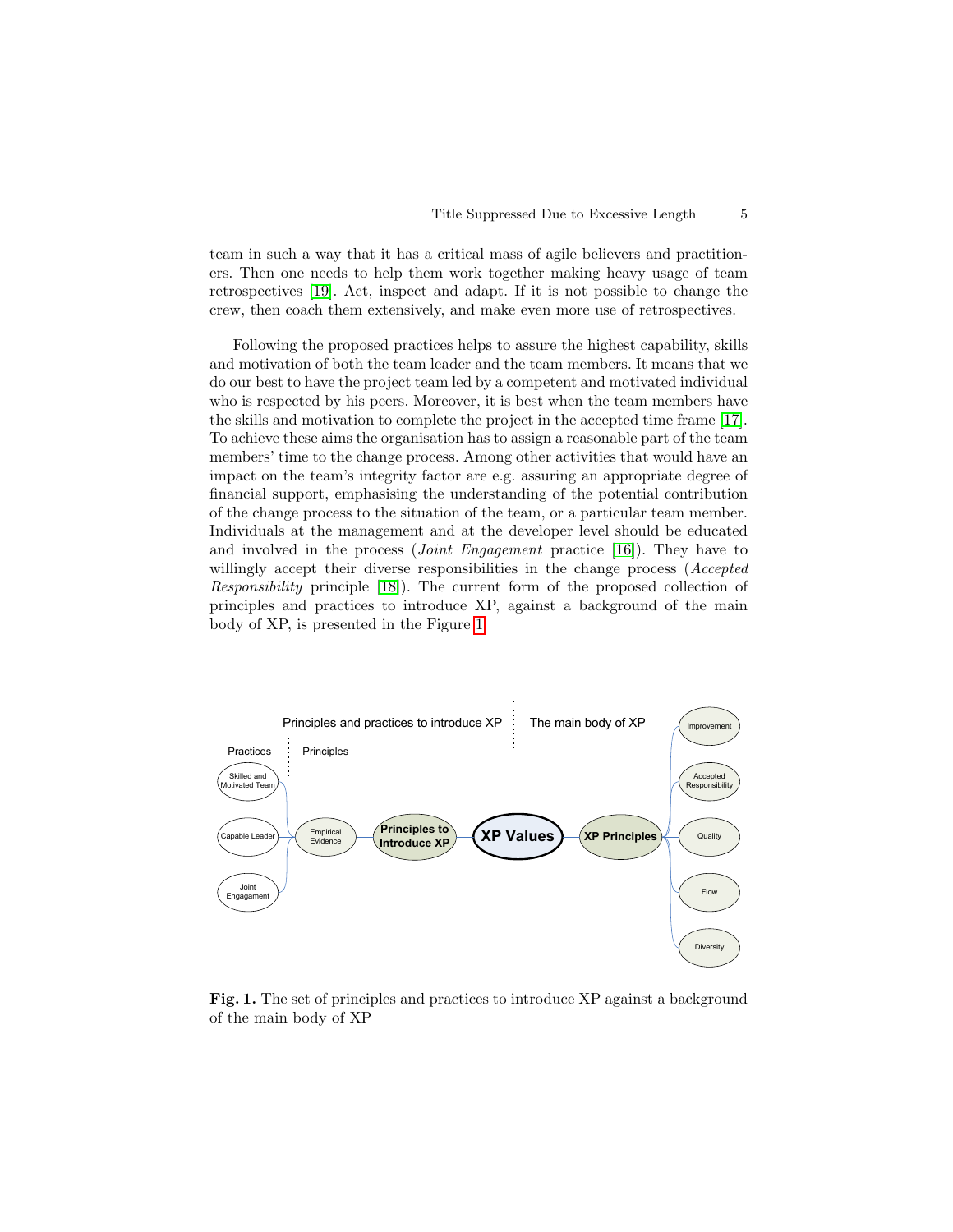team in such a way that it has a critical mass of agile believers and practitioners. Then one needs to help them work together making heavy usage of team retrospectives [\[19\]](#page-6-14). Act, inspect and adapt. If it is not possible to change the crew, then coach them extensively, and make even more use of retrospectives.

Following the proposed practices helps to assure the highest capability, skills and motivation of both the team leader and the team members. It means that we do our best to have the project team led by a competent and motivated individual who is respected by his peers. Moreover, it is best when the team members have the skills and motivation to complete the project in the accepted time frame [\[17\]](#page-6-11). To achieve these aims the organisation has to assign a reasonable part of the team members' time to the change process. Among other activities that would have an impact on the team's integrity factor are e.g. assuring an appropriate degree of financial support, emphasising the understanding of the potential contribution of the change process to the situation of the team, or a particular team member. Individuals at the management and at the developer level should be educated and involved in the process (*Joint Engagement* practice [\[16\]](#page-6-10)). They have to willingly accept their diverse responsibilities in the change process (*Accepted* Responsibility principle [\[18\]](#page-6-12)). The current form of the proposed collection of principles and practices to introduce XP, against a background of the main body of XP, is presented in the Figure [1.](#page-4-0)



<span id="page-4-0"></span>Fig. 1. The set of principles and practices to introduce XP against a background of the main body of XP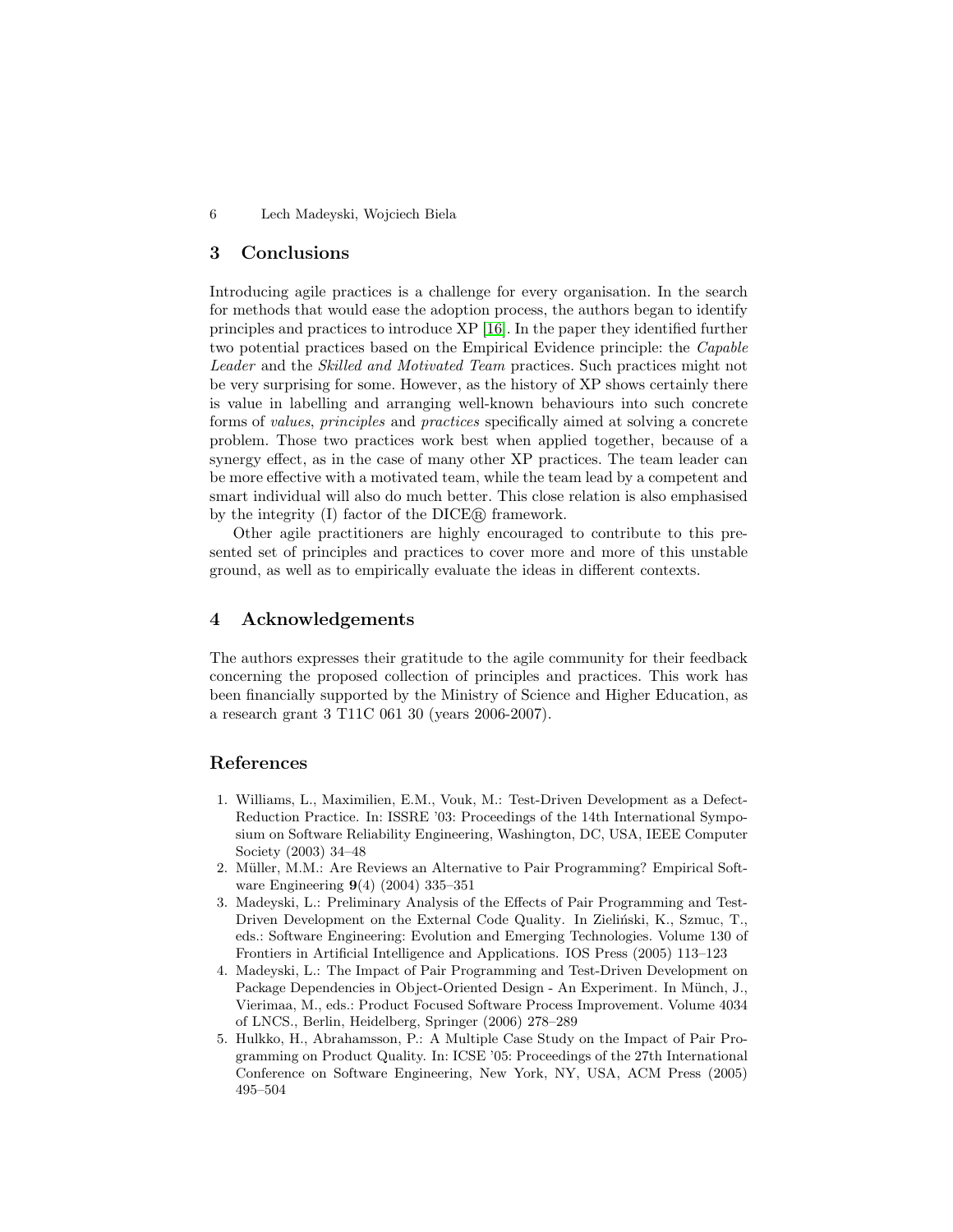6 Lech Madeyski, Wojciech Biela

## 3 Conclusions

Introducing agile practices is a challenge for every organisation. In the search for methods that would ease the adoption process, the authors began to identify principles and practices to introduce XP [\[16\]](#page-6-10). In the paper they identified further two potential practices based on the Empirical Evidence principle: the Capable Leader and the Skilled and Motivated Team practices. Such practices might not be very surprising for some. However, as the history of XP shows certainly there is value in labelling and arranging well-known behaviours into such concrete forms of values, principles and practices specifically aimed at solving a concrete problem. Those two practices work best when applied together, because of a synergy effect, as in the case of many other XP practices. The team leader can be more effective with a motivated team, while the team lead by a competent and smart individual will also do much better. This close relation is also emphasised by the integrity (I) factor of the DICE<sub>(R)</sub> framework.

Other agile practitioners are highly encouraged to contribute to this presented set of principles and practices to cover more and more of this unstable ground, as well as to empirically evaluate the ideas in different contexts.

## 4 Acknowledgements

The authors expresses their gratitude to the agile community for their feedback concerning the proposed collection of principles and practices. This work has been financially supported by the Ministry of Science and Higher Education, as a research grant 3 T11C 061 30 (years 2006-2007).

## References

- <span id="page-5-0"></span>1. Williams, L., Maximilien, E.M., Vouk, M.: Test-Driven Development as a Defect-Reduction Practice. In: ISSRE '03: Proceedings of the 14th International Symposium on Software Reliability Engineering, Washington, DC, USA, IEEE Computer Society (2003) 34–48
- <span id="page-5-1"></span>2. Müller, M.M.: Are Reviews an Alternative to Pair Programming? Empirical Software Engineering 9(4) (2004) 335–351
- <span id="page-5-2"></span>3. Madeyski, L.: Preliminary Analysis of the Effects of Pair Programming and Test-Driven Development on the External Code Quality. In Zieliński, K., Szmuc, T., eds.: Software Engineering: Evolution and Emerging Technologies. Volume 130 of Frontiers in Artificial Intelligence and Applications. IOS Press (2005) 113–123
- <span id="page-5-3"></span>4. Madeyski, L.: The Impact of Pair Programming and Test-Driven Development on Package Dependencies in Object-Oriented Design - An Experiment. In Münch, J., Vierimaa, M., eds.: Product Focused Software Process Improvement. Volume 4034 of LNCS., Berlin, Heidelberg, Springer (2006) 278–289
- <span id="page-5-4"></span>5. Hulkko, H., Abrahamsson, P.: A Multiple Case Study on the Impact of Pair Programming on Product Quality. In: ICSE '05: Proceedings of the 27th International Conference on Software Engineering, New York, NY, USA, ACM Press (2005) 495–504